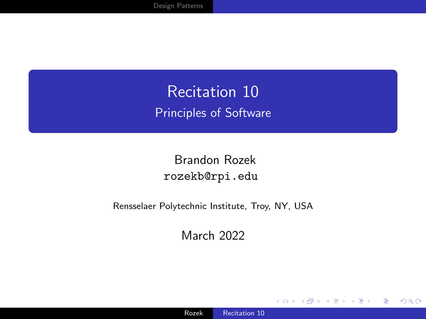<span id="page-0-0"></span>Recitation 10 Principles of Software

Brandon Rozek [rozekb@rpi.edu](mailto:rozekb@rpi.edu)

Rensselaer Polytechnic Institute, Troy, NY, USA

March 2022

4日)

 $299$ 

∍ -b

∍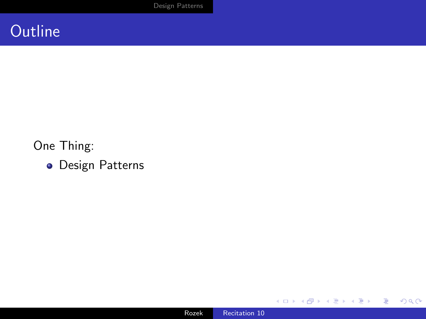

#### One Thing:

**·** Design Patterns



**K ロ ▶ K 倒 ▶ K** 

目 医间面的 E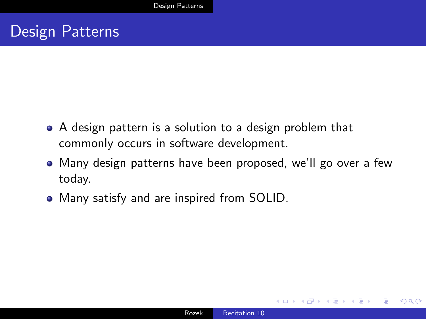### <span id="page-2-0"></span>Design Patterns

- A design pattern is a solution to a design problem that commonly occurs in software development.
- Many design patterns have been proposed, we'll go over a few today.
- Many satisfy and are inspired from SOLID.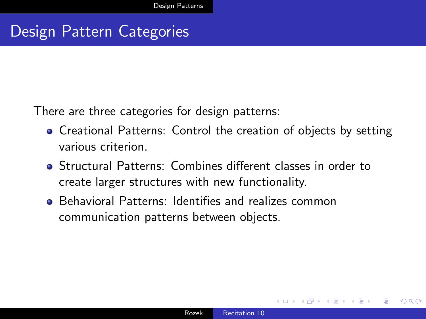## Design Pattern Categories

There are three categories for design patterns:

- **Creational Patterns: Control the creation of objects by setting** various criterion.
- Structural Patterns: Combines different classes in order to create larger structures with new functionality.
- Behavioral Patterns: Identifies and realizes common communication patterns between objects.

つくい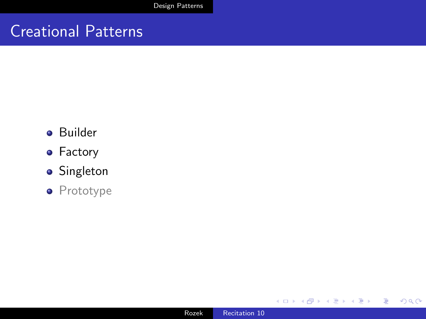### Creational Patterns

- **•** Builder
- **•** Factory
- **•** Singleton
- Prototype

 $\leftarrow$ 

 $\rightarrow$ × Пb. E

≣

-b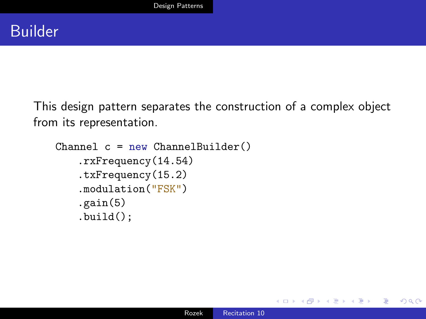This design pattern separates the construction of a complex object from its representation.

```
Channel c = new ChannelBuilder().rxFrequency(14.54)
    .txFrequency(15.2)
    .modulation("FSK")
    .gain(5)
    .build();
```
 $2990$ 

∍

э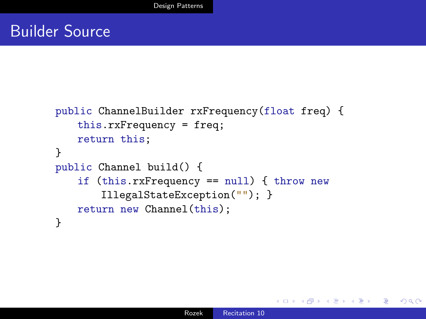### Builder Source

```
public ChannelBuilder rxFrequency(float freq) {
   this.rxFrequency = freq;
   return this;
}
public Channel build() {
   if (this.rxFrequency == null) { throw new
       IllegalStateException(""); }
   return new Channel(this);
}
```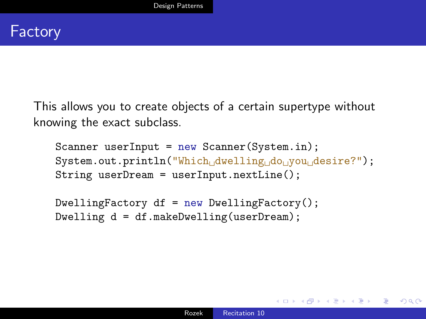This allows you to create objects of a certain supertype without knowing the exact subclass.

Scanner userInput =  $new$  Scanner(System.in); System.out.println("Which<sub>Li</sub>dwelling<sub>Li</sub>do<sub>Li</sub>you<sub>Li</sub>desire?"); String userDream = userInput.nextLine();

 $DwellingFactory df = new DwellingFactory();$ Dwelling d = df.makeDwelling(userDream);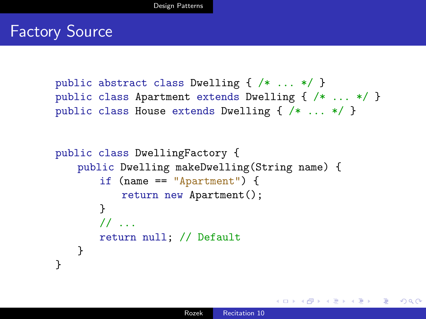### **Factory Source**

```
public abstract class Dwelling { /* ... */ }
public class Apartment extends Dwelling { /* ... */ }
public class House extends Dwelling { /* ... */ }
```

```
public class DwellingFactory {
   public Dwelling makeDwelling(String name) {
       if (name == "Apartment") {
           return new Apartment();
       }
       // ...
       return null; // Default
   }
}
```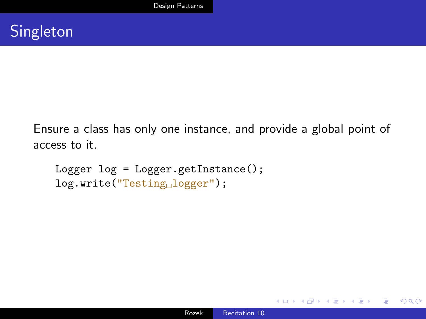Ensure a class has only one instance, and provide a global point of access to it.

```
Logger log = Logger.getInstance();
log.write("Testing␣logger");
```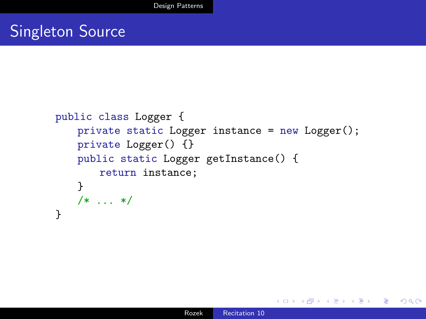### Singleton Source

```
public class Logger {
   private static Logger instance = new Logger();
   private Logger() {}
   public static Logger getInstance() {
       return instance;
    }
    /* ... */
}
```
 $299$ 

化重 的人 э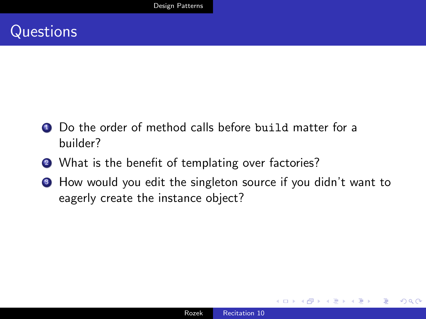

- Do the order of method calls before build matter for a builder?
- 2 What is the benefit of templating over factories?
- <sup>3</sup> How would you edit the singleton source if you didn't want to eagerly create the instance object?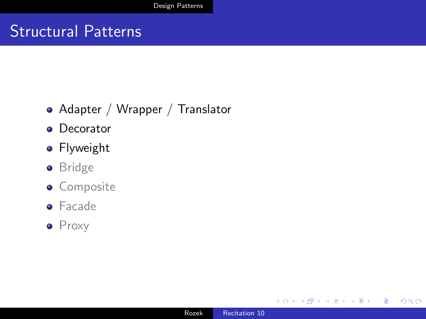### Structural Patterns

- Adapter / Wrapper / Translator
- **•** Decorator
- **•** Flyweight
- **•** Bridge
- **·** Composite
- **•** Facade
- Proxy

 $\sim$   $\sim$ 

 $299$ 

э

∍

Пb.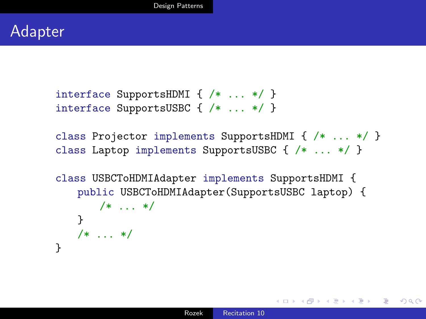interface SupportsHDMI { /\* ... \*/ } interface SupportsUSBC { /\* ... \*/ }

class Projector implements SupportsHDMI { /\* ... \*/ } class Laptop implements SupportsUSBC { /\* ... \*/ }

```
class USBCToHDMIAdapter implements SupportsHDMI {
   public USBCToHDMIAdapter(SupportsUSBC laptop) {
      /* ... */
   }
   /* ... */
}
```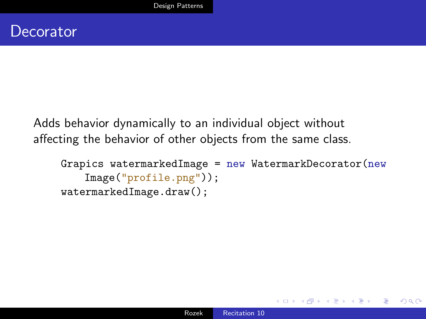Adds behavior dynamically to an individual object without affecting the behavior of other objects from the same class.

```
Grapics watermarkedImage = new WatermarkDecorator(new
   Image("profile.png"));
watermarkedImage.draw();
```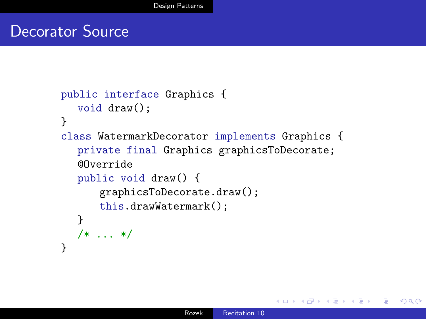#### Decorator Source

```
public interface Graphics {
  void draw();
}
class WatermarkDecorator implements Graphics {
  private final Graphics graphicsToDecorate;
  @Override
  public void draw() {
      graphicsToDecorate.draw();
      this.drawWatermark();
  }
  /* ... */
}
```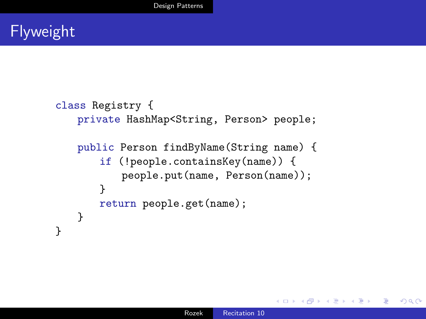```
class Registry {
   private HashMap<String, Person> people;
   public Person findByName(String name) {
       if (!people.containsKey(name)) {
          people.put(name, Person(name));
       }
       return people.get(name);
   }
}
```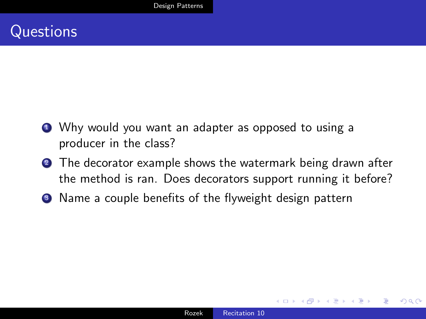### **Questions**

- **1** Why would you want an adapter as opposed to using a producer in the class?
- **2** The decorator example shows the watermark being drawn after the method is ran. Does decorators support running it before?
- <sup>3</sup> Name a couple benefits of the flyweight design pattern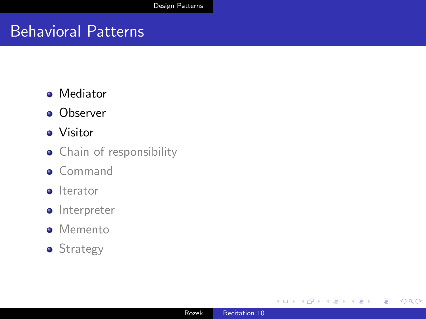### Behavioral Patterns

- **•** Mediator
- **o** Observer
- Visitor
- **•** Chain of responsibility
- **o** Command
- **o** Iterator
- **o** Interpreter
- **•** Memento
- **•** Strategy

∢⊡

 $299$ 

准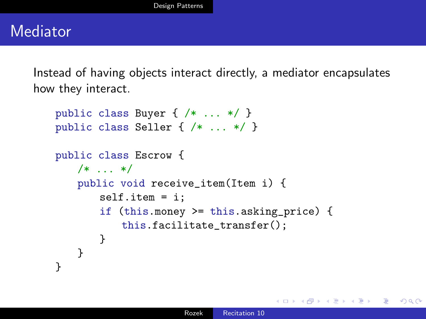### Mediator

Instead of having objects interact directly, a mediator encapsulates how they interact.

```
public class Buyer { /* ... */ }
public class Seller { /* ... */ }
public class Escrow {
   /* \dots */public void receive_item(Item i) {
       self.item = i;
       if (this.money >= this.asking_price) {
           this.facilitate_transfer();
       }
   }
}
```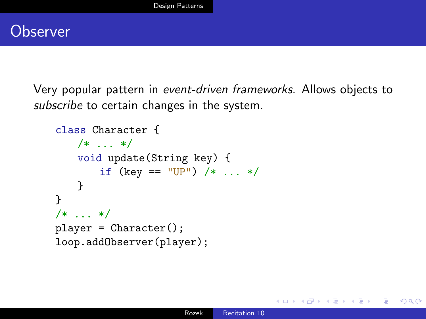

Very popular pattern in event-driven frameworks. Allows objects to subscribe to certain changes in the system.

```
class Character {
   /* \dots */void update(String key) {
       if (key == "UP") /* \ldots */}
}
/* \ldots */player = Character();
loop.addObserver(player);
```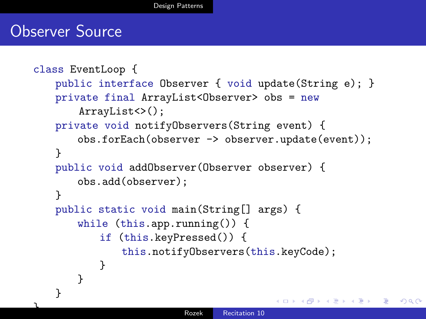#### Observer Source

```
class EventLoop {
   public interface Observer { void update(String e); }
   private final ArrayList<Observer> obs = new
       ArrayList<>();
   private void notifyObservers(String event) {
       obs.forEach(observer -> observer.update(event));
   }
   public void addObserver(Observer observer) {
       obs.add(observer);
   }
   public static void main(String[] args) {
       while (this.app.running()) {
          if (this.keyPressed()) {
              this.notifyObservers(this.keyCode);
          }
       }
   }
                                                          200a<br>Recitation 10
```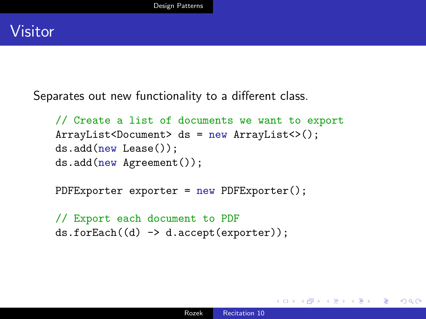

Separates out new functionality to a different class.

```
// Create a list of documents we want to export
ArrayList<Document> ds = new ArrayList<>();
ds.add(new Lease());
ds.add(new Agreement());
```
PDFExporter exporter = new PDFExporter();

```
// Export each document to PDF
ds.forEach((d) -> d.accept(exporter));
```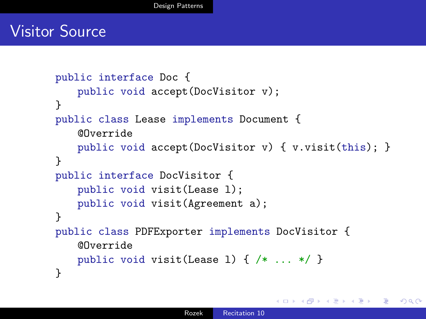### Visitor Source

```
public interface Doc {
   public void accept(DocVisitor v);
}
public class Lease implements Document {
   @Override
   public void accept(DocVisitor v) { v.visit(this); }
}
public interface DocVisitor {
   public void visit(Lease l);
   public void visit(Agreement a);
}
public class PDFExporter implements DocVisitor {
   @Override
   public void visit(Lease l) { /* ... */ }
}
```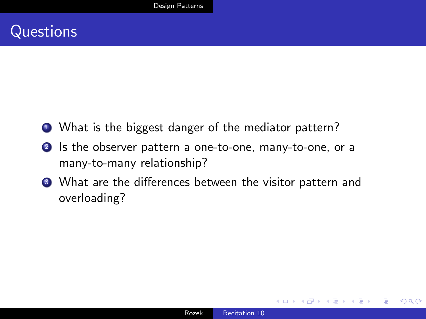- What is the biggest danger of the mediator pattern?
- <sup>2</sup> Is the observer pattern a one-to-one, many-to-one, or a many-to-many relationship?
- <sup>3</sup> What are the differences between the visitor pattern and overloading?